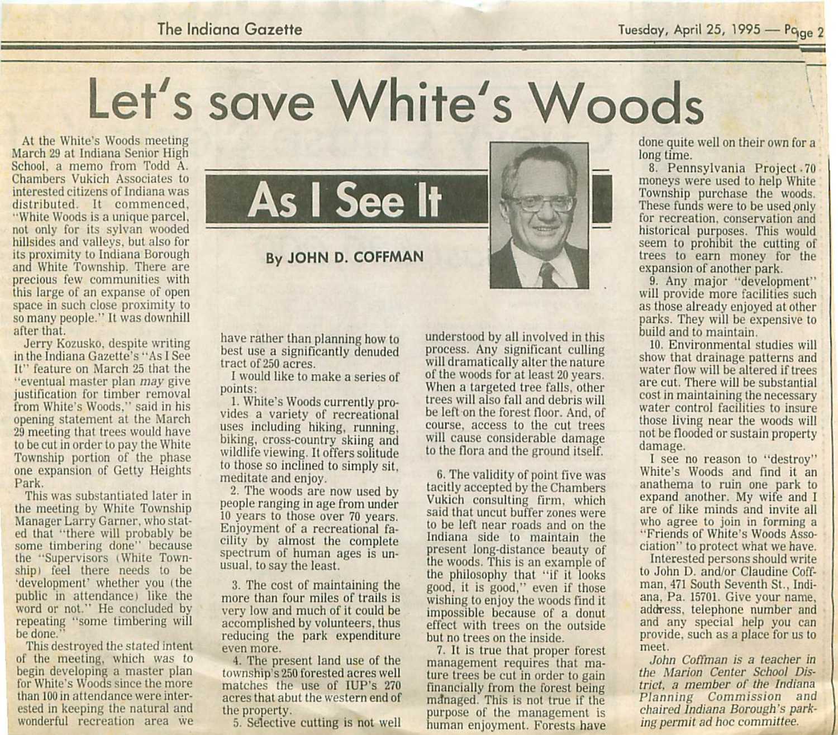The Indiana Gazette Tuesday, April 25, 1995 — Pq<sub>ae</sub> 2

Let's save White's Woods

March 29 at Indiana Senior High School, a memo from Todd A. Chambers Vukich Associates to interested citizens of Indiana was distributed. It commenced, "White Woods is a unique parcel, not only for its sylvan wooded hillsides and valleys, but also for its proximity to Indiana Borough and White Township. There are precious few communities with this large of an expanse of open space in such close proximity to so many people." It was downhill after that.

Jerry Kozusko, despite writing in the Indiana Gazette's "As I See It" feature on March 25 that the '"eventual master plan may give justification for timber removal from White's Woods," said in his opening statement at the March 29 meeting that trees would have to be cut in order to pay the White Township portion of the phase one expansion of Getty Heights Park.

This was substantiated later in the meeting by White Township Manager Larry Garner, who stat ed that "there will probably be some timbering done" because the "Supervisors (White Town ship) feel there needs to be 'development' whether you (the public in attendance) like the word or not." He concluded by repeating "some timbering will be done.

This destroyed the stated intent of the meeting, which was to begin developing a master plan for White's Woods since the more than 100 in attendance were inter ested in keeping the natural and wonderful recreation area we



have rather than planning how to best use a significantly denuded tract of 250 acres.

I would like to make a series of points:

1. White's Woods currently pro vides a variety of recreational uses including hiking, running, biking, cross-country skiing and wildlife viewing. It offers solitude to those so inclined to simply sit. meditate and enjoy.

2. The woods are now used by people ranging in age from under 10 years to those over 70 years. Enjoyment of a recreational fa cility by almost the complete spectrum of human ages is un usual, to say the least.

3. The cost of maintaining the more than four miles of trails is very low and much of it could be accomplished by volunteers, thus reducing the park expenditure even more.

4. The present land use of the township's250 forested acres well matches the use of IUP's 270 acres that abut the western end of the property.

5. Selective cutting is not well

understood by all involved in this process. Any significant culling will dramatically alter the nature of the woods for at least 20 years. When a targeted tree falls, other trees will also fall and debris will be left on the forest floor. And. of course, access to the cut trees will cause considerable damage to the flora and the ground itself.

6. The validity of point five was tacitly accepted by the Chambers Vukich consulting firm, which said that uncut buffer zones were to be left near roads and on the Indiana side to maintain the present long-distance beauty of the woods. This is an example of the philosophy that "if it looks good, it is good," even if those wishing to enjoy the woods find it impossible because of a donut effect with trees on the outside hut no trees on the inside.

7. It is true that proper forest management requires that ma ture trees be cut in order to gain financially from the forest being managed. This is not true if the purpose of the management is human enjoyment. Forests have done quite well on their own for a long time.

8. Pennsylvania Project-70 moneys were used to help White Township purchase the woods. These funds were to be used only for recreation, conservation and historical purposes. This would seem to prohibit the cutting of trees to earn money for the expansion of another park.

9. Any major "development" will provide more facilities such as those already enjoyed at other parks. They will be expensive to build and to maintain.

10. Environmental studies will show that drainage patterns and water flow will be altered if trees are cut. There will be substantial cost in maintaining the necessary water control facilities to insure those living near the woods will not be flooded or sustain property damage.

I see no reason to "destroy" White's Woods and find it an anathema to ruin one park to expand another. My wife and I are of like minds and invite all who agree to join in forming a "Friends of White's Woods Asso ciation" to protect what we have.

Interested persons should write to John D. and/or Claudine Coffman. 471 South Seventh St., Indi ana. Pa. 15701. Give your name, address, telephone number and and any special help you can provide, such as a place for us to meet.

John Coffman is a teacher in the Marion Center School Dis trict, a member of the Indiana Planning Commission and chaired Indiana Borough's parking permit ad hoc committee.